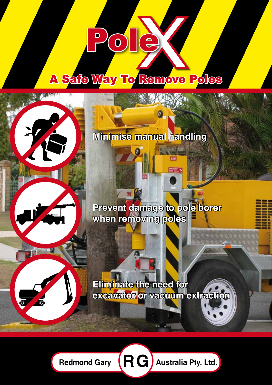# **A Safe Way To Remove Poles**

**Minimise manual handling**

**Prevent damage to pole borer when removing poles**

# **Eliminate the need for excavator or vacuum extraction**



Redmond Gary  $(RG)$  Australia Pty. Ltd.